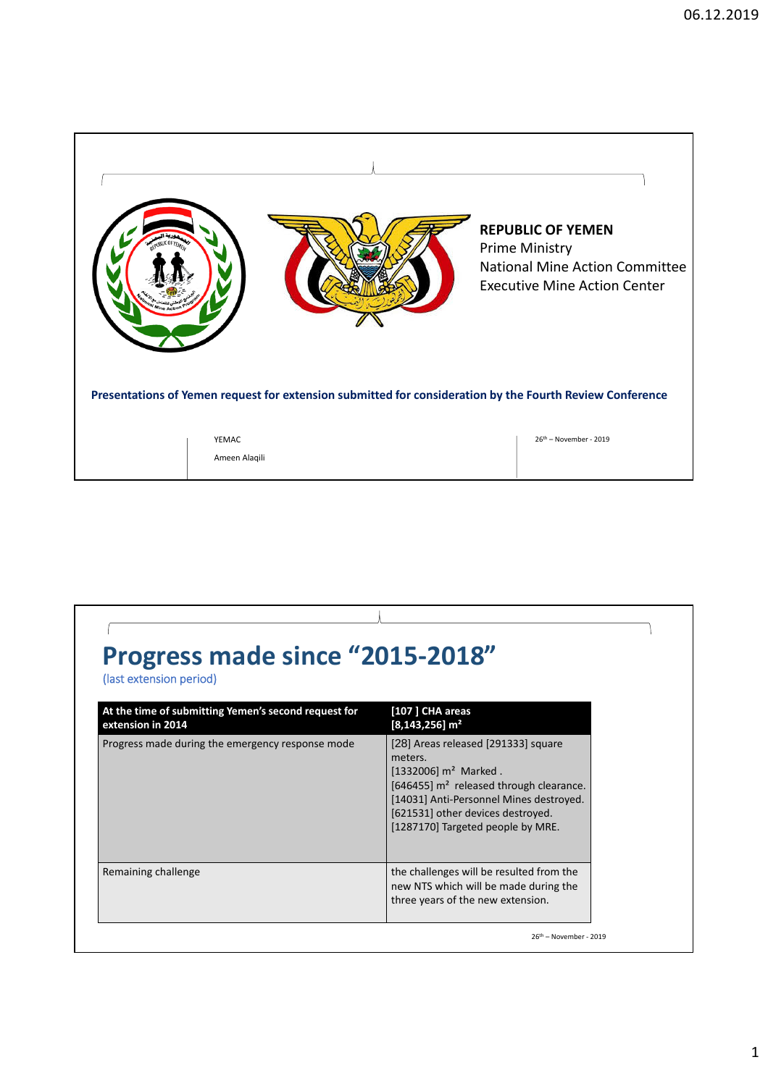

| <b>Progress made since "2015-2018"</b><br>(last extension period)         |                                                                                                                                                                                                                                                        |  |
|---------------------------------------------------------------------------|--------------------------------------------------------------------------------------------------------------------------------------------------------------------------------------------------------------------------------------------------------|--|
| At the time of submitting Yemen's second request for<br>extension in 2014 | [107] CHA areas<br>$[8, 143, 256]$ m <sup>2</sup>                                                                                                                                                                                                      |  |
| Progress made during the emergency response mode                          | [28] Areas released [291333] square<br>meters.<br>$[1332006]$ m <sup>2</sup> Marked.<br>[646455] $m2$ released through clearance.<br>[14031] Anti-Personnel Mines destroyed.<br>[621531] other devices destroyed.<br>[1287170] Targeted people by MRE. |  |
| Remaining challenge                                                       | the challenges will be resulted from the<br>new NTS which will be made during the<br>three years of the new extension.                                                                                                                                 |  |
|                                                                           | $26th$ – November - 2019                                                                                                                                                                                                                               |  |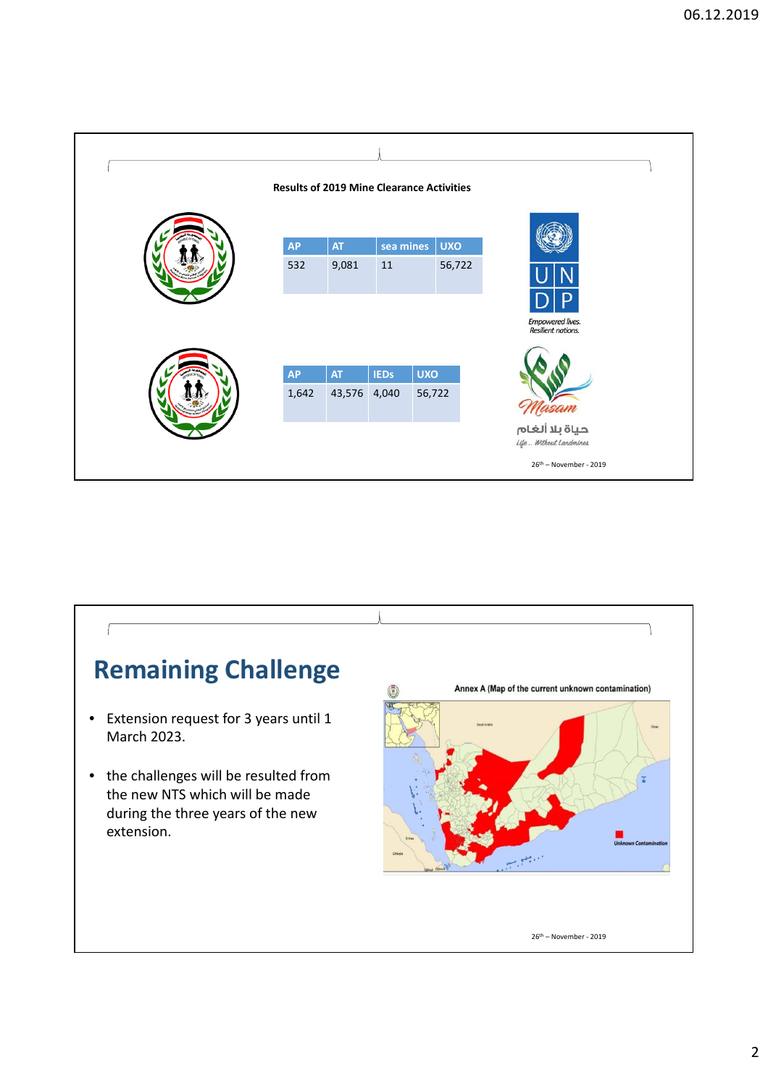

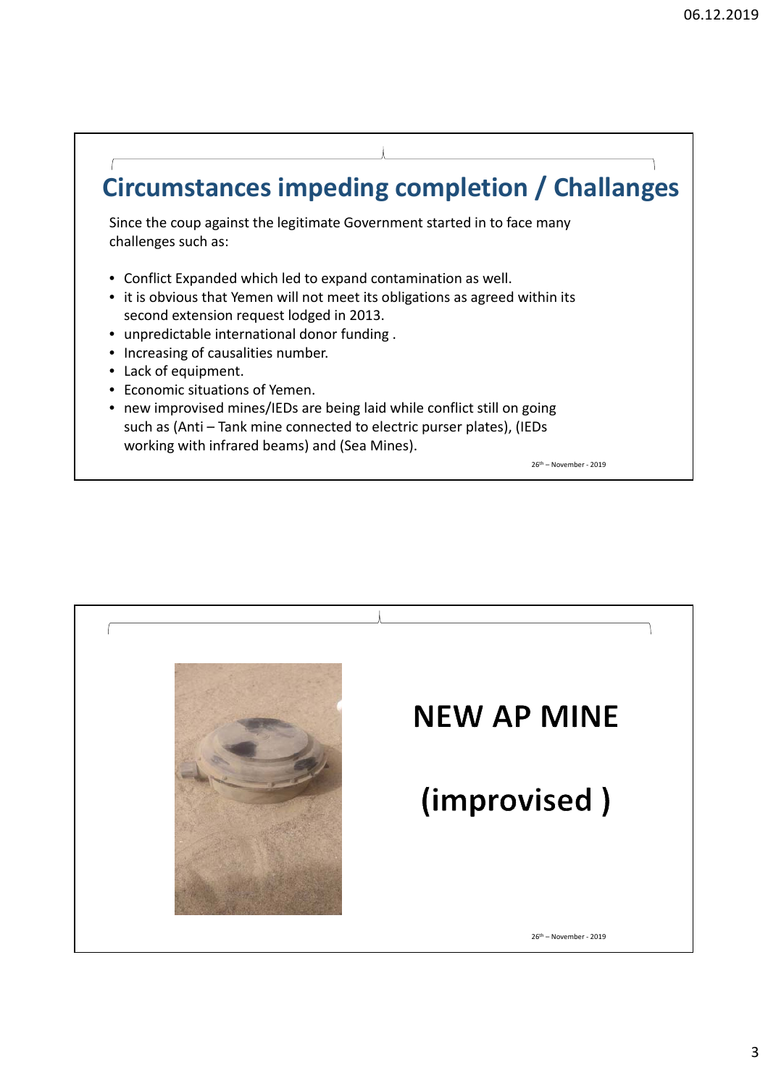## **Circumstances impeding completion / Challanges**

Since the coup against the legitimate Government started in to face many challenges such as:

- Conflict Expanded which led to expand contamination as well.
- it is obvious that Yemen will not meet its obligations as agreed within its second extension request lodged in 2013.
- unpredictable international donor funding .
- Increasing of causalities number.
- Lack of equipment.
- Economic situations of Yemen.
- new improvised mines/IEDs are being laid while conflict still on going such as (Anti – Tank mine connected to electric purser plates), (IEDs working with infrared beams) and (Sea Mines).

26th – November ‐ 2019

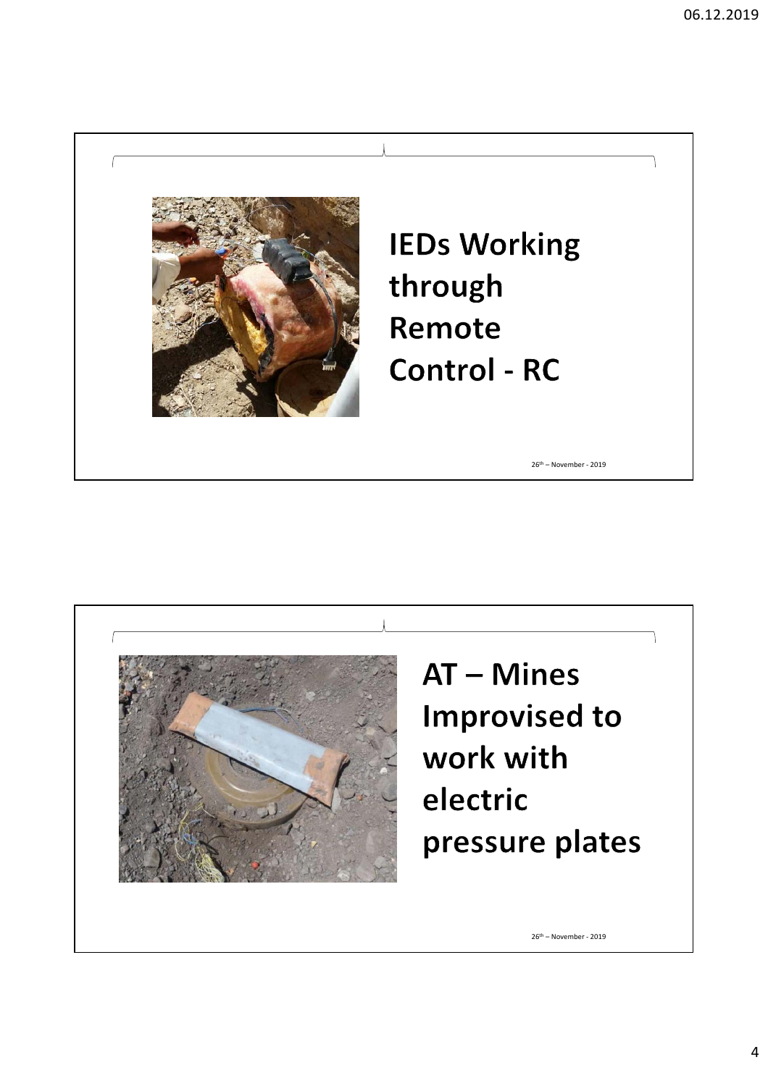



4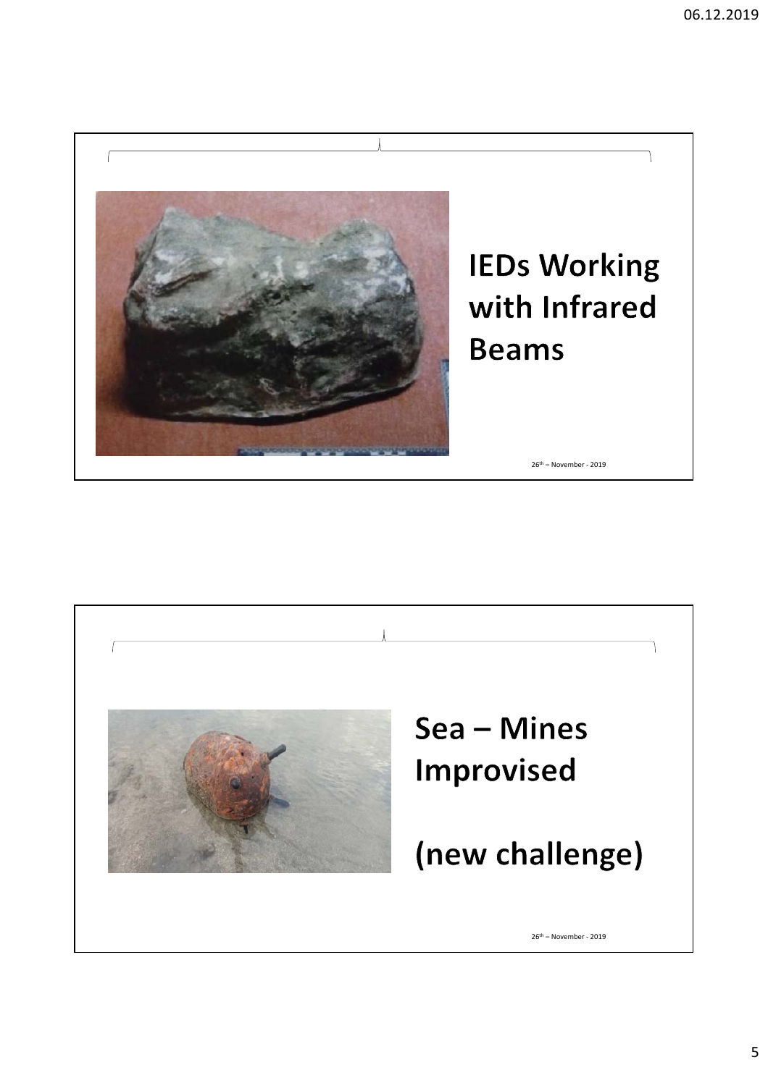

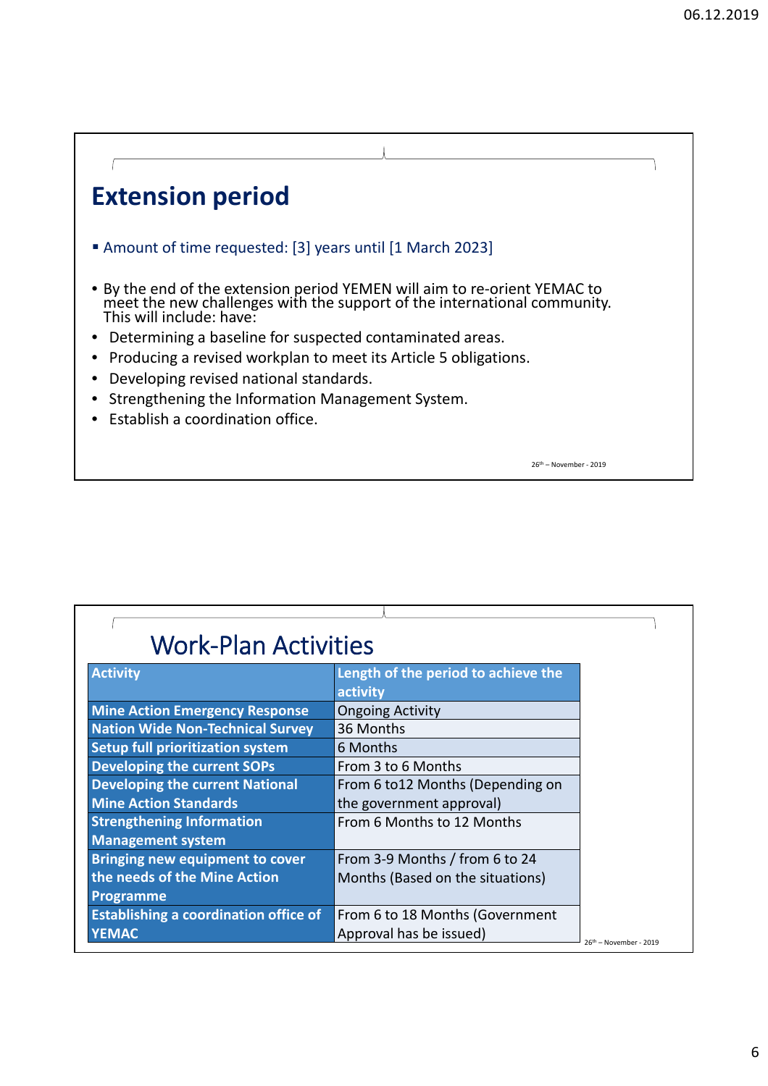## **Extension period**

- Amount of time requested: [3] years until [1 March 2023]
- By the end of the extension period YEMEN will aim to re‐orient YEMAC to meet the new challenges with the support of the international community.<br>This will include: have:
- Determining a baseline for suspected contaminated areas.
- Producing a revised workplan to meet its Article 5 obligations.
- Developing revised national standards.
- Strengthening the Information Management System.
- Establish a coordination office.

26th – November ‐ 2019

| <b>Work-Plan Activities</b>                  |                                     |                        |
|----------------------------------------------|-------------------------------------|------------------------|
| <b>Activity</b>                              | Length of the period to achieve the |                        |
|                                              | activity                            |                        |
| <b>Mine Action Emergency Response</b>        | <b>Ongoing Activity</b>             |                        |
| <b>Nation Wide Non-Technical Survey</b>      | 36 Months                           |                        |
| <b>Setup full prioritization system</b>      | 6 Months                            |                        |
| <b>Developing the current SOPs</b>           | From 3 to 6 Months                  |                        |
| <b>Developing the current National</b>       | From 6 to 12 Months (Depending on   |                        |
| <b>Mine Action Standards</b>                 | the government approval)            |                        |
| <b>Strengthening Information</b>             | From 6 Months to 12 Months          |                        |
| <b>Management system</b>                     |                                     |                        |
| <b>Bringing new equipment to cover</b>       | From 3-9 Months / from 6 to 24      |                        |
| the needs of the Mine Action                 | Months (Based on the situations)    |                        |
| Programme                                    |                                     |                        |
| <b>Establishing a coordination office of</b> | From 6 to 18 Months (Government     |                        |
| <b>YEMAC</b>                                 | Approval has be issued)             | 26th - November - 2019 |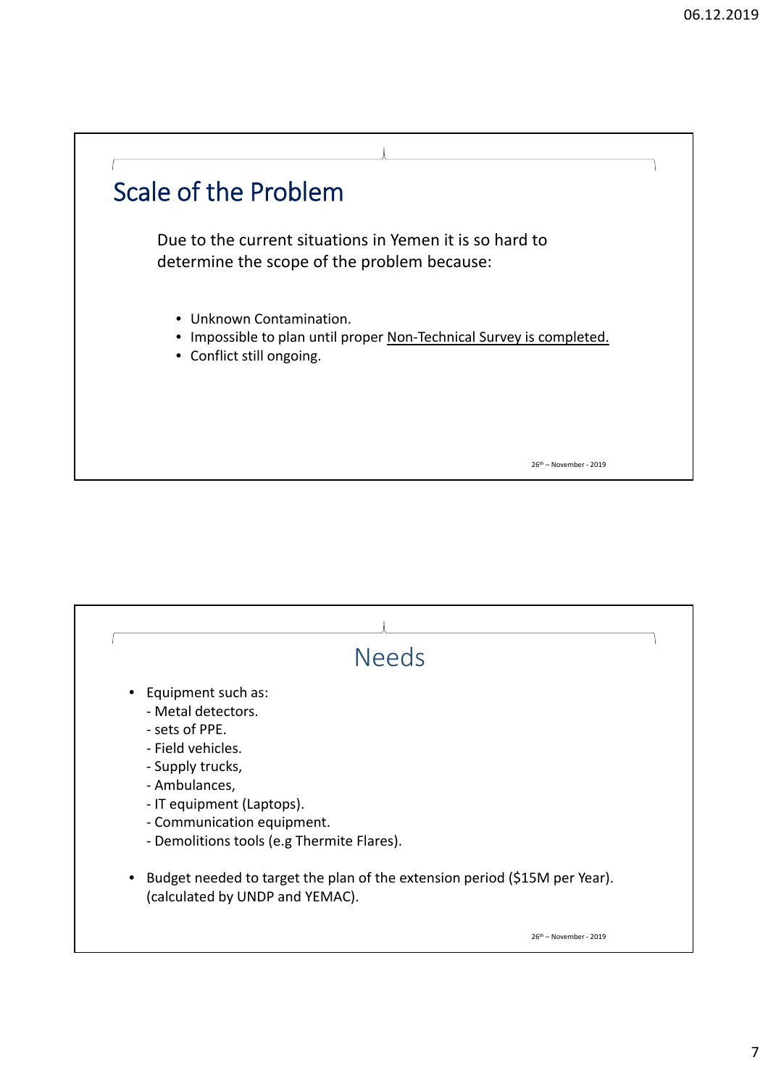